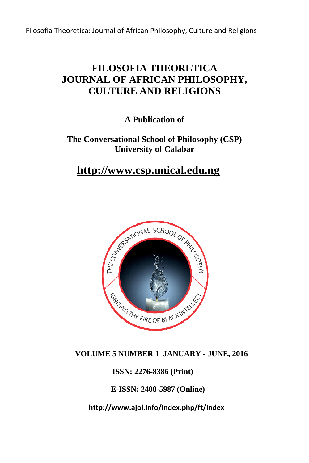Filosofia Theoretica: Journal of African Philosophy, Culture and Religions

## **FILOSOFIA THEORETICA JOURNAL OF AFRICAN PHILOSOPHY, CULTURE AND RELIGIONS**

**A Publication of** 

**The Conversational School of Philosophy (CSP) University of Calabar** 

# **http://www.csp.unical.edu.ng www.csp.unical.edu.ng**



### **VOLUME 5 NUMBER 1 JANUARY - JUNE, 2016**

 **ISSN: 2276-8386 (Print)** 

 **E-ISSN: 2408-5987 (Online)**

 **http://www.ajol.info/index.php/ft/index**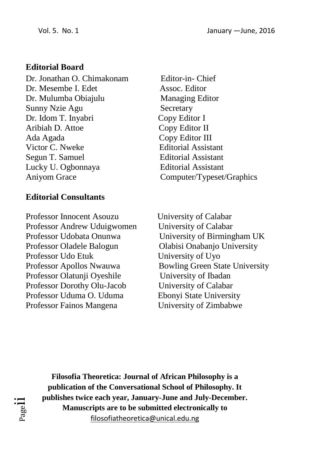### **Editorial Board**

Dr. Jonathan O. Chimakonam Editor-in- Chief Dr. Mesembe I. Edet Assoc. Editor Dr. Mulumba Obiajulu Managing Editor Sunny Nzie Agu Secretary Dr. Idom T. Inyabri Copy Editor I Aribiah D. Attoe Copy Editor II Ada Agada Copy Editor III Victor C. Nweke Editorial Assistant Segun T. Samuel Editorial Assistant Lucky U. Ogbonnaya Editorial Assistant Aniyom Grace Computer/Typeset/Graphics

## **Editorial Consultants**

Professor Innocent Asouzu University of Calabar Professor Andrew Uduigwomen University of Calabar Professor Udobata Onunwa<br>
University of Birmingham UK Professor Oladele Balogun Olabisi Onabanjo University Professor Udo Etuk University of Uyo Professor Apollos Nwauwa Bowling Green State University Professor Olatunji Oyeshile University of Ibadan Professor Dorothy Olu-Jacob University of Calabar Professor Uduma O. Uduma Ebonyi State University Professor Fainos Mangena University of Zimbabwe

**Filosofia Theoretica: Journal of African Philosophy is a publication of the Conversational School of Philosophy. It publishes twice each year, January-June and July-December. Manuscripts are to be submitted electronically to** filosofiatheoretica@unical.edu.ng

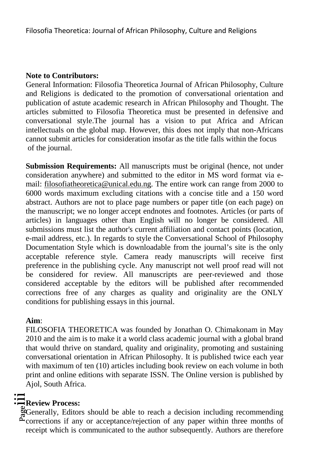### **Note to Contributors:**

General Information: Filosofia Theoretica Journal of African Philosophy, Culture and Religions is dedicated to the promotion of conversational orientation and publication of astute academic research in African Philosophy and Thought. The articles submitted to Filosofia Theoretica must be presented in defensive and conversational style.The journal has a vision to put Africa and African intellectuals on the global map. However, this does not imply that non-Africans cannot submit articles for consideration insofar as the title falls within the focus of the journal.

**Submission Requirements:** All manuscripts must be original (hence, not under consideration anywhere) and submitted to the editor in MS word format via email: filosofiatheoretica@unical.edu.ng. The entire work can range from 2000 to 6000 words maximum excluding citations with a concise title and a 150 word abstract. Authors are not to place page numbers or paper title (on each page) on the manuscript; we no longer accept endnotes and footnotes. Articles (or parts of articles) in languages other than English will no longer be considered. All submissions must list the author's current affiliation and contact points (location, e-mail address, etc.). In regards to style the Conversational School of Philosophy Documentation Style which is downloadable from the journal's site is the only acceptable reference style. Camera ready manuscripts will receive first preference in the publishing cycle. Any manuscript not well proof read will not be considered for review. All manuscripts are peer-reviewed and those considered acceptable by the editors will be published after recommended corrections free of any charges as quality and originality are the ONLY conditions for publishing essays in this journal.

### **Aim**:

FILOSOFIA THEORETICA was founded by Jonathan O. Chimakonam in May 2010 and the aim is to make it a world class academic journal with a global brand that would thrive on standard, quality and originality, promoting and sustaining conversational orientation in African Philosophy. It is published twice each year with maximum of ten (10) articles including book review on each volume in both print and online editions with separate ISSN. The Online version is published by Ajol, South Africa.

## **Review Process:**

**Exeriew Process:**<br>
Generally, Editors should be able to reach a decision including recommending<br>
Accreations if any or accontance/velocition of any paper within three months of corrections if any or acceptance/rejection of any paper within three months of receipt which is communicated to the author subsequently. Authors are therefore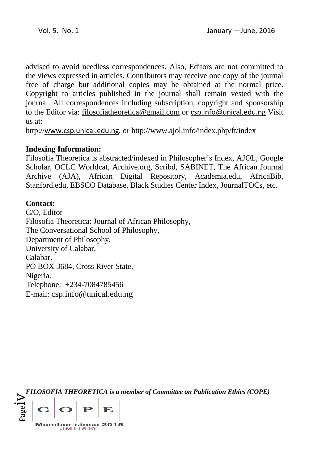advised to avoid needless correspondences. Also, Editors are not committed to the views expressed in articles. Contributors may receive one copy of the journal free of charge but additional copies may be obtained at the normal price. Copyright to articles published in the journal shall remain vested with the journal. All correspondences including subscription, copyright and sponsorship to the Editor via: filosofiatheoretica@gmail.com or csp.info@unical.edu.ng Visit us at: ntributors may receive one copy of the journal<br>pies may be obtained at the normal price.<br>in the journal shall remain vested with the<br>iding subscription, copyright and sponsorship

http://www.csp.unical.edu.ng, or http://www.ajol.info/index.php/ft/index

### **Indexing Information:**

Filosofia Theoretica is abstracted/indexed in Philosopher's Index, AJOL, Google Scholar, OCLC Worldcat, Archive.org, Scribd, SABINET, SABINET, The African Journal Archive (AJA), African Digital Repository, Academia.edu, AfricaBib, Stanford.edu, EBSCO Database, Black Studies Center Index, JournalTOCs, etc.

#### **Contact:**

C/O, Editor Filosofia Theoretica: Journal of African Philosophy, The Conversational School of Philosophy, Department of Philosophy, University of Calabar, Calabar. PO BOX 3684, Cross River State, Nigeria. Telephone: +234-7084785456 E-mail: csp.info@unical.edu.ng

*FILOSOFIA THEORETICA is a member of Committee on Publication Ethics (COPE)*

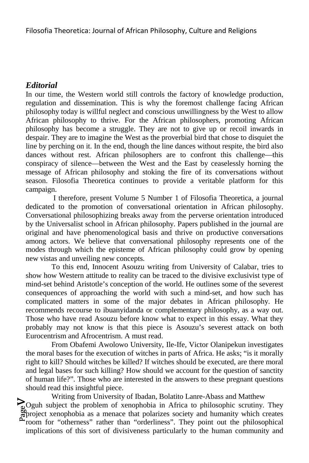## *Editorial*

In our time, the Western world still controls the factory of knowledge production, regulation and dissemination. This is why the foremost challenge facing African philosophy today is willful neglect and conscious unwillingness by the West to allow African philosophy to thrive. For the African philosophers, promoting African philosophy has become a struggle. They are not to give up or recoil inwards in despair. They are to imagine the West as the proverbial bird that chose to disquiet the line by perching on it. In the end, though the line dances without respite, the bird also dances without rest. African philosophers are to confront this challenge—this conspiracy of silence—between the West and the East by ceaselessly horning the message of African philosophy and stoking the fire of its conversations without season. Filosofia Theoretica continues to provide a veritable platform for this campaign.

 I therefore, present Volume 5 Number 1 of Filosofia Theoretica, a journal dedicated to the promotion of conversational orientation in African philosophy. Conversational philosophizing breaks away from the perverse orientation introduced by the Universalist school in African philosophy. Papers published in the journal are original and have phenomenological basis and thrive on productive conversations among actors. We believe that conversational philosophy represents one of the modes through which the episteme of African philosophy could grow by opening new vistas and unveiling new concepts.

To this end, Innocent Asouzu writing from University of Calabar, tries to show how Western attitude to reality can be traced to the divisive exclusivist type of mind-set behind Aristotle's conception of the world. He outlines some of the severest consequences of approaching the world with such a mind-set, and how such has complicated matters in some of the major debates in African philosophy. He recommends recourse to ibuanyidanda or complementary philosophy, as a way out. Those who have read Asouzu before know what to expect in this essay. What they probably may not know is that this piece is Asouzu's severest attack on both Eurocentrism and Afrocentrism. A must read.

From Obafemi Awolowo University, Ile-Ife, Victor Olanipekun investigates the moral bases for the execution of witches in parts of Africa. He asks; "is it morally right to kill? Should witches be killed? If witches should be executed, are there moral and legal bases for such killing? How should we account for the question of sanctity of human life?". Those who are interested in the answers to these pregnant questions should read this insightful piece.

a bagget xenophobia as a menace that polarizes society and humanity which creates Oguh subject the problem of xenophobia in Africa to philosophic scrutiny. They Writing from University of Ibadan, Bolatito Lanre-Abass and Matthew room for "otherness" rather than "orderliness". They point out the philosophical implications of this sort of divisiveness particularly to the human community and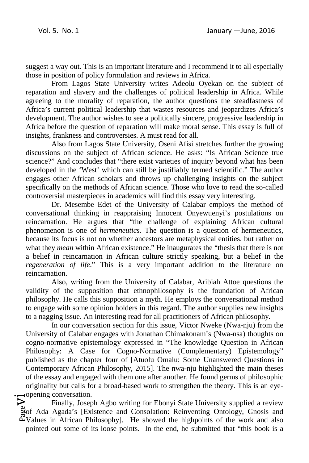suggest a way out. This is an important literature and I recommend it to all especially those in position of policy formulation and reviews in Africa.

From Lagos State University writes Adeolu Oyekan on the subject of reparation and slavery and the challenges of political leadership in Africa. While agreeing to the morality of reparation, the author questions the steadfastness of Africa's current political leadership that wastes resources and jeopardizes Africa's development. The author wishes to see a politically sincere, progressive leadership in Africa before the question of reparation will make moral sense. This essay is full of insights, frankness and controversies. A must read for all.

Also from Lagos State University, Oseni Afisi stretches further the growing discussions on the subject of African science. He asks: "Is African Science true science?" And concludes that "there exist varieties of inquiry beyond what has been developed in the 'West' which can still be justifiably termed scientific." The author engages other African scholars and throws up challenging insights on the subject specifically on the methods of African science. Those who love to read the so-called controversial masterpieces in academics will find this essay very interesting.

Dr. Mesembe Edet of the University of Calabar employs the method of conversational thinking in reappraising Innocent Onyewuenyi's postulations on reincarnation. He argues that "the challenge of explaining African cultural phenomenon is one of *hermeneutics.* The question is a question of hermeneutics, because its focus is not on whether ancestors are metaphysical entities, but rather on what they *mean* within African existence." He inaugurates the "thesis that there is not a belief in reincarnation in African culture strictly speaking, but a belief in the *regeneration of life*." This is a very important addition to the literature on reincarnation.

Also, writing from the University of Calabar, Aribiah Attoe questions the validity of the supposition that ethnophilosophy is the foundation of African philosophy. He calls this supposition a myth. He employs the conversational method to engage with some opinion holders in this regard. The author supplies new insights to a nagging issue. An interesting read for all practitioners of African philosophy.

In our conversation section for this issue, Victor Nweke (Nwa-nju) from the University of Calabar engages with Jonathan Chimakonam's (Nwa-nsa) thoughts on cogno-normative epistemology expressed in "The knowledge Question in African Philosophy: A Case for Cogno-Normative (Complementary) Epistemology" published as the chapter four of [Atuolu Omalu: Some Unanswered Questions in Contemporary African Philosophy, 2015]. The nwa-nju highlighted the main theses of the essay and engaged with them one after another. He found germs of philosophic originality but calls for a broad-based work to strengthen the theory. This is an eye-

Popening conversation.<br>
Finally, Josep<br>
gof Ada Agada's [Exi<br>
EValues in African Ph Finally, Joseph Agbo writing for Ebonyi State University supplied a review of Ada Agada's [Existence and Consolation: Reinventing Ontology, Gnosis and  $\mathbb{Z}$ Values in African Philosophy]. He showed the highpoints of the work and also pointed out some of its loose points. In the end, he submitted that "this book is a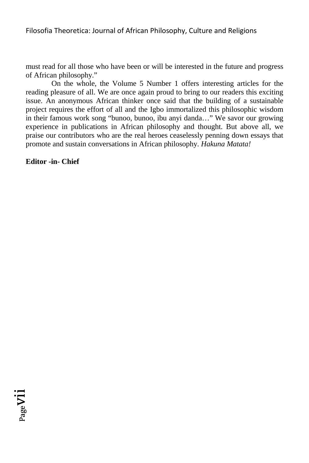must read for all those who have been or will be interested in the future and progress of African philosophy."

On the whole, the Volume 5 Number 1 offers interesting articles for the reading pleasure of all. We are once again proud to bring to our readers this exciting issue. An anonymous African thinker once said that the building of a sustainable project requires the effort of all and the Igbo immortalized this philosophic wisdom in their famous work song "bunoo, bunoo, ibu anyi danda…" We savor our growing experience in publications in African philosophy and thought. But above all, we praise our contributors who are the real heroes ceaselessly penning down essays that promote and sustain conversations in African philosophy. *Hakuna Matata!*

**Editor -in- Chief** 

Pagevii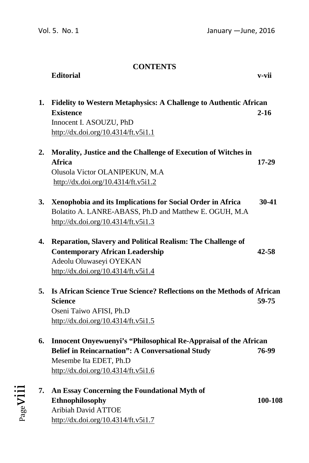Pageviii

# **CONTENTS Editorial v-vii 1. Fidelity to Western Metaphysics: A Challenge to Authentic African Existence 2-16**  Innocent I. ASOUZU, PhD http://dx.doi.org/10.4314/ft.v5i1.1 **2. Morality, Justice and the Challenge of Execution of Witches in Africa 17-29**  Olusola Victor OLANIPEKUN, M.A http://dx.doi.org/10.4314/ft.v5i1.2 **3. Xenophobia and its Implications for Social Order in Africa 30-41**  Bolatito A. LANRE-ABASS, Ph.D and Matthew E. OGUH, M.A http://dx.doi.org/10.4314/ft.v5i1.3 **4. Reparation, Slavery and Political Realism: The Challenge of Contemporary African Leadership 42-58**  Adeolu Oluwaseyi OYEKAN http://dx.doi.org/10.4314/ft.v5i1.4 **5. Is African Science True Science? Reflections on the Methods of African Science 59-75**  Oseni Taiwo AFISI, Ph.D http://dx.doi.org/10.4314/ft.v5i1.5 **6. Innocent Onyewuenyi's "Philosophical Re-Appraisal of the African Belief in Reincarnation": A Conversational Study 76-99**  Mesembe Ita EDET, Ph.D http://dx.doi.org/10.4314/ft.v5i1.6 **7. An Essay Concerning the Foundational Myth of Ethnophilosophy 100-108**  Aribiah David ATTOE http://dx.doi.org/10.4314/ft.v5i1.7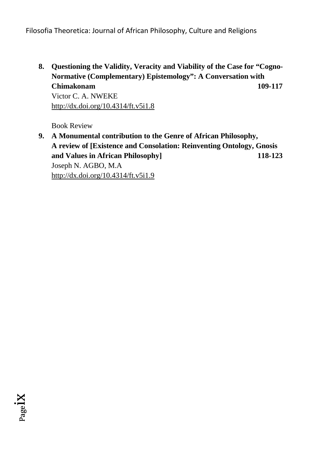Filosofia Theoretica: Journal of African Philosophy, Culture and Religions

**8. Questioning the Validity, Veracity and Viability of the Case for "Cogno-Normative (Complementary) Epistemology": A Conversation with Chimakonam 109-117**  Victor C. A. NWEKE http://dx.doi.org/10.4314/ft.v5i1.8

Book Review

**9. A Monumental contribution to the Genre of African Philosophy, A review of [Existence and Consolation: Reinventing Ontology, Gnosis and Values in African Philosophy] 118-123**  Joseph N. AGBO, M.A http://dx.doi.org/10.4314/ft.v5i1.9

Page**IX**